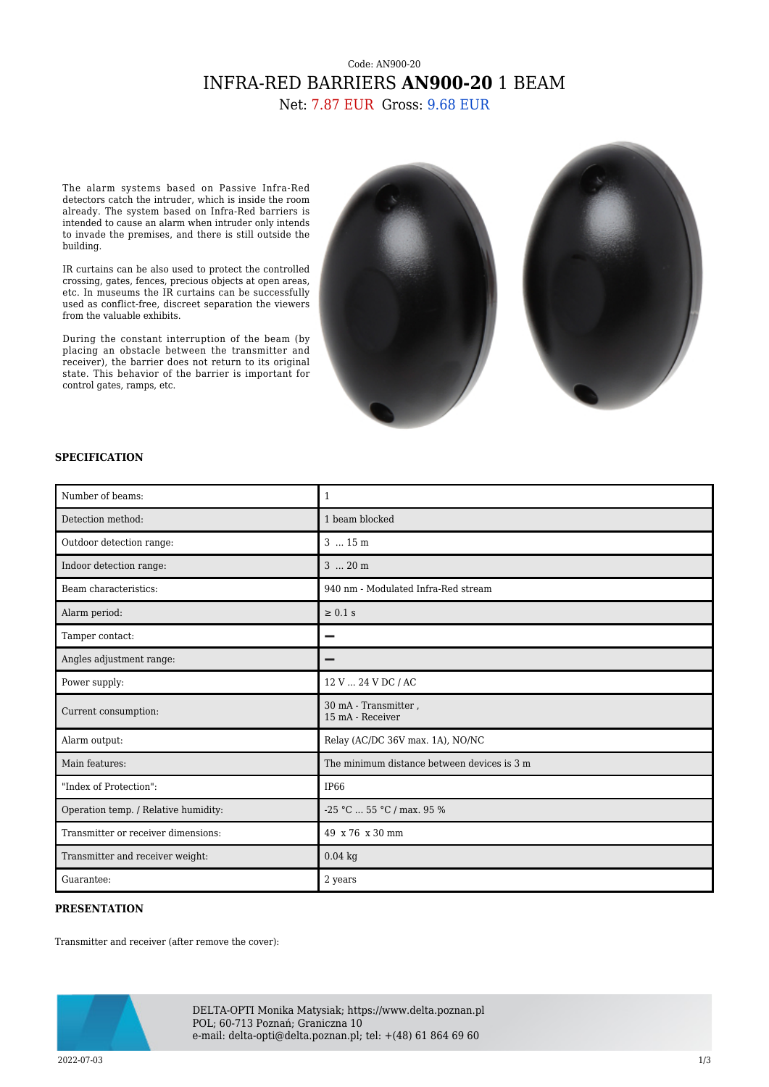## Code: AN900-20 INFRA-RED BARRIERS **AN900-20** 1 BEAM

Net: 7.87 EUR Gross: 9.68 EUR

The alarm systems based on Passive Infra-Red detectors catch the intruder, which is inside the room already. The system based on Infra-Red barriers is intended to cause an alarm when intruder only intends to invade the premises, and there is still outside the building.

IR curtains can be also used to protect the controlled crossing, gates, fences, precious objects at open areas, etc. In museums the IR curtains can be successfully used as conflict-free, discreet separation the viewers from the valuable exhibits.

During the constant interruption of the beam (by placing an obstacle between the transmitter and receiver), the barrier does not return to its original state. This behavior of the barrier is important for control gates, ramps, etc.





## **SPECIFICATION**

| Number of beams:                     | 1                                           |
|--------------------------------------|---------------------------------------------|
| Detection method:                    | 1 beam blocked                              |
| Outdoor detection range:             | 3  15 m                                     |
| Indoor detection range:              | $3 \dots 20$ m                              |
| Beam characteristics:                | 940 nm - Modulated Infra-Red stream         |
| Alarm period:                        | $\geq 0.1$ s                                |
| Tamper contact:                      |                                             |
| Angles adjustment range:             |                                             |
| Power supply:                        | 12 V  24 V DC / AC                          |
| Current consumption:                 | 30 mA - Transmitter,<br>15 mA - Receiver    |
| Alarm output:                        | Relay (AC/DC 36V max. 1A), NO/NC            |
| Main features:                       | The minimum distance between devices is 3 m |
| "Index of Protection":               | IP <sub>66</sub>                            |
| Operation temp. / Relative humidity: | $-25$ °C $\ldots$ 55 °C / max, 95 %         |
| Transmitter or receiver dimensions:  | 49 x 76 x 30 mm                             |
| Transmitter and receiver weight:     | $0.04$ kg                                   |
| Guarantee:                           | 2 years                                     |

## **PRESENTATION**

Transmitter and receiver (after remove the cover):



DELTA-OPTI Monika Matysiak; https://www.delta.poznan.pl POL; 60-713 Poznań; Graniczna 10 e-mail: delta-opti@delta.poznan.pl; tel: +(48) 61 864 69 60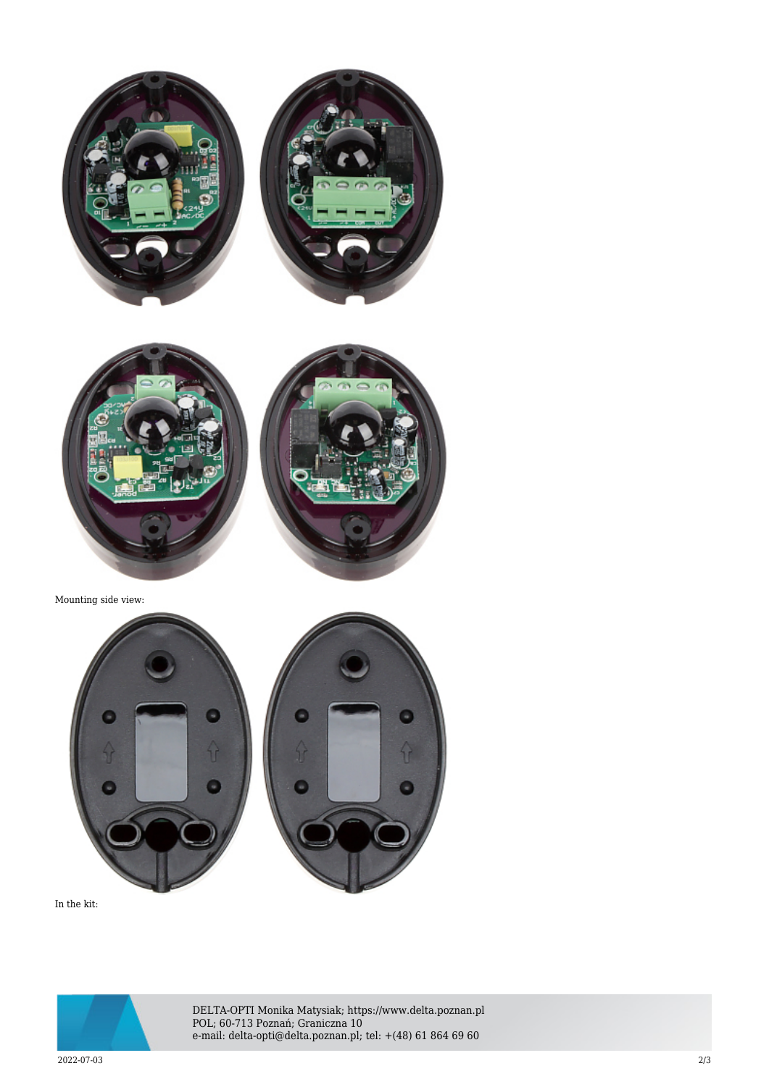



In the kit:



DELTA-OPTI Monika Matysiak; https://www.delta.poznan.pl POL; 60-713 Poznań; Graniczna 10 e-mail: delta-opti@delta.poznan.pl; tel: +(48) 61 864 69 60

Θ

 $\theta$ 

2022-07-03 2/3